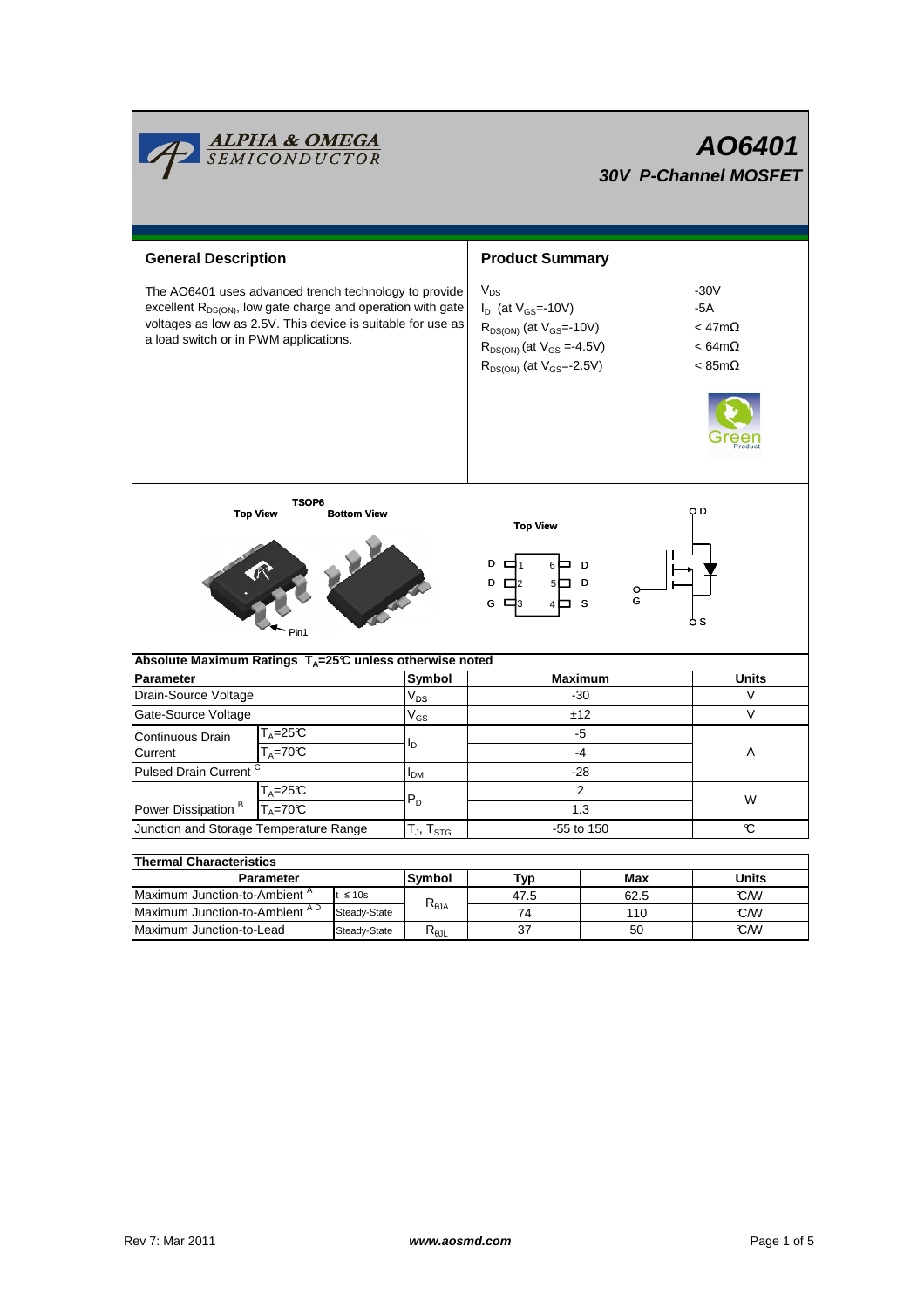|                                                                                                                                                                                                                                          | <mark>ALPHA &amp; OMEGA</mark><br>SEMICONDUCTOR |                    |                                  | AO6401<br><b>30V P-Channel MOSFET</b>                                                                                                                   |                                                                                |              |  |  |  |
|------------------------------------------------------------------------------------------------------------------------------------------------------------------------------------------------------------------------------------------|-------------------------------------------------|--------------------|----------------------------------|---------------------------------------------------------------------------------------------------------------------------------------------------------|--------------------------------------------------------------------------------|--------------|--|--|--|
| <b>General Description</b>                                                                                                                                                                                                               |                                                 |                    |                                  | <b>Product Summary</b>                                                                                                                                  |                                                                                |              |  |  |  |
| The AO6401 uses advanced trench technology to provide<br>excellent R <sub>DS(ON)</sub> , low gate charge and operation with gate<br>voltages as low as 2.5V. This device is suitable for use as<br>a load switch or in PWM applications. |                                                 |                    |                                  | $V_{DS}$<br>$I_D$ (at $V_{GS}$ =-10V)<br>$R_{DS(ON)}$ (at $V_{GS}$ =-10V)<br>$R_{DS(ON)}$ (at $V_{GS} = -4.5V$ )<br>$R_{DS(ON)}$ (at $V_{GS} = -2.5V$ ) | $-30V$<br>$-5A$<br>$<$ 47m $\Omega$<br>$< 64 m\Omega$<br>$< 85 \text{m}\Omega$ |              |  |  |  |
| <b>Top View</b>                                                                                                                                                                                                                          | TSOP6                                           | <b>Bottom View</b> |                                  | O D<br><b>Top View</b><br>D<br>D<br>D<br>$\Box$ 2<br>5Γ<br>D<br>G<br>G<br>⊏<br><b>S</b><br>o s                                                          |                                                                                |              |  |  |  |
| Absolute Maximum Ratings $T_A = 25^\circ \text{C}$ unless otherwise noted                                                                                                                                                                |                                                 |                    |                                  |                                                                                                                                                         |                                                                                |              |  |  |  |
| <b>Parameter</b>                                                                                                                                                                                                                         |                                                 |                    | Symbol<br>$V_{DS}$               | <b>Maximum</b>                                                                                                                                          | <b>Units</b>                                                                   |              |  |  |  |
|                                                                                                                                                                                                                                          | Drain-Source Voltage                            |                    |                                  | $-30$                                                                                                                                                   | $\vee$                                                                         |              |  |  |  |
| Gate-Source Voltage                                                                                                                                                                                                                      |                                                 |                    | $V_{GS}$                         | ±12                                                                                                                                                     |                                                                                | $\vee$       |  |  |  |
| Continuous Drain                                                                                                                                                                                                                         | $T_A = 25C$                                     |                    | l <sub>D</sub>                   |                                                                                                                                                         | -5                                                                             | Α            |  |  |  |
| Current                                                                                                                                                                                                                                  | $T_A = 70C$                                     |                    |                                  |                                                                                                                                                         | $-4$                                                                           |              |  |  |  |
| <b>Pulsed Drain Current</b>                                                                                                                                                                                                              |                                                 |                    | I <sub>DM</sub>                  | $-28$                                                                                                                                                   |                                                                                |              |  |  |  |
| $T_A = 25C$                                                                                                                                                                                                                              |                                                 |                    | $P_D$                            | $\overline{2}$                                                                                                                                          |                                                                                | W            |  |  |  |
| Power Dissipation <sup>B</sup><br>$T_A = 70C$                                                                                                                                                                                            |                                                 |                    | 1.3                              |                                                                                                                                                         |                                                                                |              |  |  |  |
| Junction and Storage Temperature Range                                                                                                                                                                                                   |                                                 |                    | $T_J$ , $T_{STG}$                | -55 to 150                                                                                                                                              |                                                                                | C            |  |  |  |
| <b>Thermal Characteristics</b>                                                                                                                                                                                                           |                                                 |                    |                                  |                                                                                                                                                         |                                                                                |              |  |  |  |
| Parameter                                                                                                                                                                                                                                |                                                 |                    | Symbol                           | Typ                                                                                                                                                     | Max                                                                            | <b>Units</b> |  |  |  |
| Maximum Junction-to-Ambient <sup>A</sup><br>$t \leq 10s$                                                                                                                                                                                 |                                                 |                    | 47.5                             | 62.5                                                                                                                                                    | °C/W                                                                           |              |  |  |  |
| Maximum Junction-to-Ambient AD                                                                                                                                                                                                           |                                                 | Steady-State       | $\mathsf{R}_{\theta\mathsf{JA}}$ | 74                                                                                                                                                      | 110                                                                            | °C/W         |  |  |  |

Г

Steady-State R<sub>θJL</sub>

Maximum Junction-to-Lead Steady-State R<sub>6JL</sub> 37 50 C/W

37

50

┑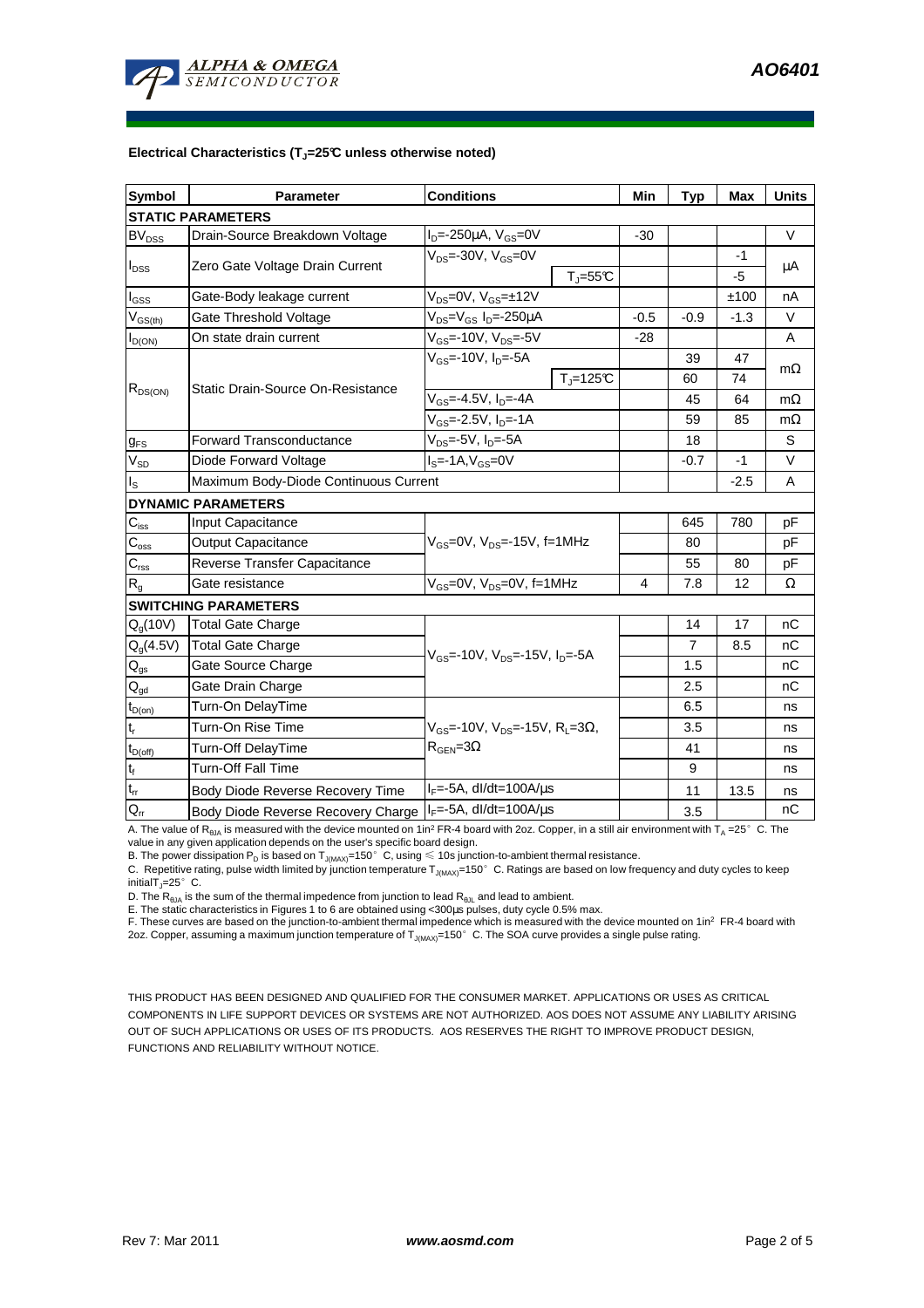

### **Electrical Characteristics (TJ=25°C unless otherwise noted)**

| <b>Symbol</b>              | <b>Conditions</b><br>Parameter                                                  |                                                         | Min    | <b>Typ</b>     | <b>Max</b> | <b>Units</b> |  |  |  |  |  |  |
|----------------------------|---------------------------------------------------------------------------------|---------------------------------------------------------|--------|----------------|------------|--------------|--|--|--|--|--|--|
| <b>STATIC PARAMETERS</b>   |                                                                                 |                                                         |        |                |            |              |  |  |  |  |  |  |
| <b>BV<sub>DSS</sub></b>    | Drain-Source Breakdown Voltage                                                  | $I_{D} = -250 \mu A$ , $V_{GS} = 0V$                    | $-30$  |                |            | V            |  |  |  |  |  |  |
| $I_{\text{DSS}}$           | Zero Gate Voltage Drain Current                                                 | $V_{DS}$ =-30V, $V_{GS}$ =0V                            |        |                | $-1$       |              |  |  |  |  |  |  |
|                            |                                                                                 | $T_{\parallel} = 55$ °C                                 |        |                | -5         | μA           |  |  |  |  |  |  |
| l <sub>GSS</sub>           | Gate-Body leakage current                                                       | $V_{DS} = 0V$ , $V_{GS} = \pm 12V$                      |        |                | ±100       | nA           |  |  |  |  |  |  |
| $V_{GS(th)}$               | Gate Threshold Voltage                                                          | V <sub>DS</sub> =V <sub>GS</sub> I <sub>D</sub> =-250µA | $-0.5$ | $-0.9$         | $-1.3$     | V            |  |  |  |  |  |  |
| $I_{D(ON)}$                | On state drain current                                                          | $V_{GS}$ =-10V, $V_{DS}$ =-5V                           | $-28$  |                |            | A            |  |  |  |  |  |  |
| $R_{DS(ON)}$               |                                                                                 | $V_{GS}$ =-10V, I <sub>D</sub> =-5A                     |        | 39             | 47         | $m\Omega$    |  |  |  |  |  |  |
|                            | Static Drain-Source On-Resistance                                               | $T_i = 125C$                                            |        | 60             | 74         |              |  |  |  |  |  |  |
|                            |                                                                                 | $V_{GS} = -4.5V$ , $I_D = -4A$                          |        | 45             | 64         | $m\Omega$    |  |  |  |  |  |  |
|                            |                                                                                 | $V_{GS}$ =-2.5V, $I_{D}$ =-1A                           |        | 59             | 85         | $m\Omega$    |  |  |  |  |  |  |
| $g_{FS}$                   | <b>Forward Transconductance</b>                                                 | $V_{DS}$ =-5V, $I_{D}$ =-5A                             |        | 18             |            | S            |  |  |  |  |  |  |
| $V_{SD}$                   | Diode Forward Voltage                                                           |                                                         | $-0.7$ | $-1$           | V          |              |  |  |  |  |  |  |
| I <sub>s</sub>             | Maximum Body-Diode Continuous Current                                           |                                                         |        | $-2.5$         | Α          |              |  |  |  |  |  |  |
|                            | <b>DYNAMIC PARAMETERS</b>                                                       |                                                         |        |                |            |              |  |  |  |  |  |  |
| $C_{\rm iss}$              | <b>Input Capacitance</b>                                                        |                                                         |        | 645            | 780        | pF           |  |  |  |  |  |  |
| $C_{\rm oss}$              | Output Capacitance                                                              | $V_{GS}$ =0V, $V_{DS}$ =-15V, f=1MHz                    |        | 80             |            | pF           |  |  |  |  |  |  |
| $C_{\rm rss}$              | Reverse Transfer Capacitance                                                    |                                                         |        | 55             | 80         | рF           |  |  |  |  |  |  |
| R <sub>g</sub>             | Gate resistance                                                                 | $V_{GS}$ =0V, $V_{DS}$ =0V, f=1MHz                      |        | 7.8            | 12         | Ω            |  |  |  |  |  |  |
|                            | <b>SWITCHING PARAMETERS</b>                                                     |                                                         |        |                |            |              |  |  |  |  |  |  |
| $Q_q(10V)$                 | Total Gate Charge                                                               |                                                         |        | 14             | 17         | nC           |  |  |  |  |  |  |
| $Q_q(4.5V)$                | <b>Total Gate Charge</b>                                                        | $V_{GS}$ =-10V, $V_{DS}$ =-15V, $I_{D}$ =-5A            |        | $\overline{7}$ | 8.5        | nC           |  |  |  |  |  |  |
| $\mathsf{Q}_{\mathsf{gs}}$ | Gate Source Charge                                                              |                                                         |        | 1.5            |            | nC           |  |  |  |  |  |  |
| $Q_{gd}$                   | Gate Drain Charge                                                               |                                                         |        | 2.5            |            | nC           |  |  |  |  |  |  |
| $t_{D(on)}$                | Turn-On DelayTime                                                               |                                                         |        | 6.5            |            | ns           |  |  |  |  |  |  |
| t,                         | Turn-On Rise Time<br>$V_{GS}$ =-10V, V <sub>DS</sub> =-15V, R <sub>L</sub> =3Ω, |                                                         |        | 3.5            |            | ns           |  |  |  |  |  |  |
| $t_{D(off)}$               | Turn-Off DelayTime                                                              | $R_{\text{GEN}} = 3\Omega$                              |        | 41             |            | ns           |  |  |  |  |  |  |
| $t_f$                      | Turn-Off Fall Time                                                              |                                                         |        | 9              |            | ns           |  |  |  |  |  |  |
| $\mathsf{t}_\mathsf{rr}$   | Body Diode Reverse Recovery Time                                                | $I_F = -5A$ , dl/dt=100A/ $\mu$ s                       |        | 11             | 13.5       | ns           |  |  |  |  |  |  |
| $Q_{rr}$                   | Body Diode Reverse Recovery Charge   IF=-5A, dl/dt=100A/us                      |                                                         |        | 3.5            |            | nC           |  |  |  |  |  |  |

A. The value of  $R_{\theta_0A}$  is measured with the device mounted on 1in<sup>2</sup> FR-4 board with 2oz. Copper, in a still air environment with T<sub>A</sub> =25°C. The value in any given application depends on the user's specific board design.

B. The power dissipation P<sub>D</sub> is based on  $T_{J(MAX)}$ =150°C, using ≤ 10s junction-to-ambient thermal resistance.

C. Repetitive rating, pulse width limited by junction temperature  $T_{J(MAX)}$ =150°C. Ratings are based on low frequency and duty cycles to keep initialT $_{J}$ =25°C.

D. The  $R_{\theta JA}$  is the sum of the thermal impedence from junction to lead  $R_{\theta JL}$  and lead to ambient.

E. The static characteristics in Figures 1 to 6 are obtained using <300µs pulses, duty cycle 0.5% max.

F. These curves are based on the junction-to-ambient thermal impedence which is measured with the device mounted on 1in<sup>2</sup> FR-4 board with 2oz. Copper, assuming a maximum junction temperature of  $T_{\rm J(MAX)}$ =150 $^{\circ}$  C. The SOA curve provides a single pulse rating.

THIS PRODUCT HAS BEEN DESIGNED AND QUALIFIED FOR THE CONSUMER MARKET. APPLICATIONS OR USES AS CRITICAL COMPONENTS IN LIFE SUPPORT DEVICES OR SYSTEMS ARE NOT AUTHORIZED. AOS DOES NOT ASSUME ANY LIABILITY ARISING OUT OF SUCH APPLICATIONS OR USES OF ITS PRODUCTS. AOS RESERVES THE RIGHT TO IMPROVE PRODUCT DESIGN, FUNCTIONS AND RELIABILITY WITHOUT NOTICE.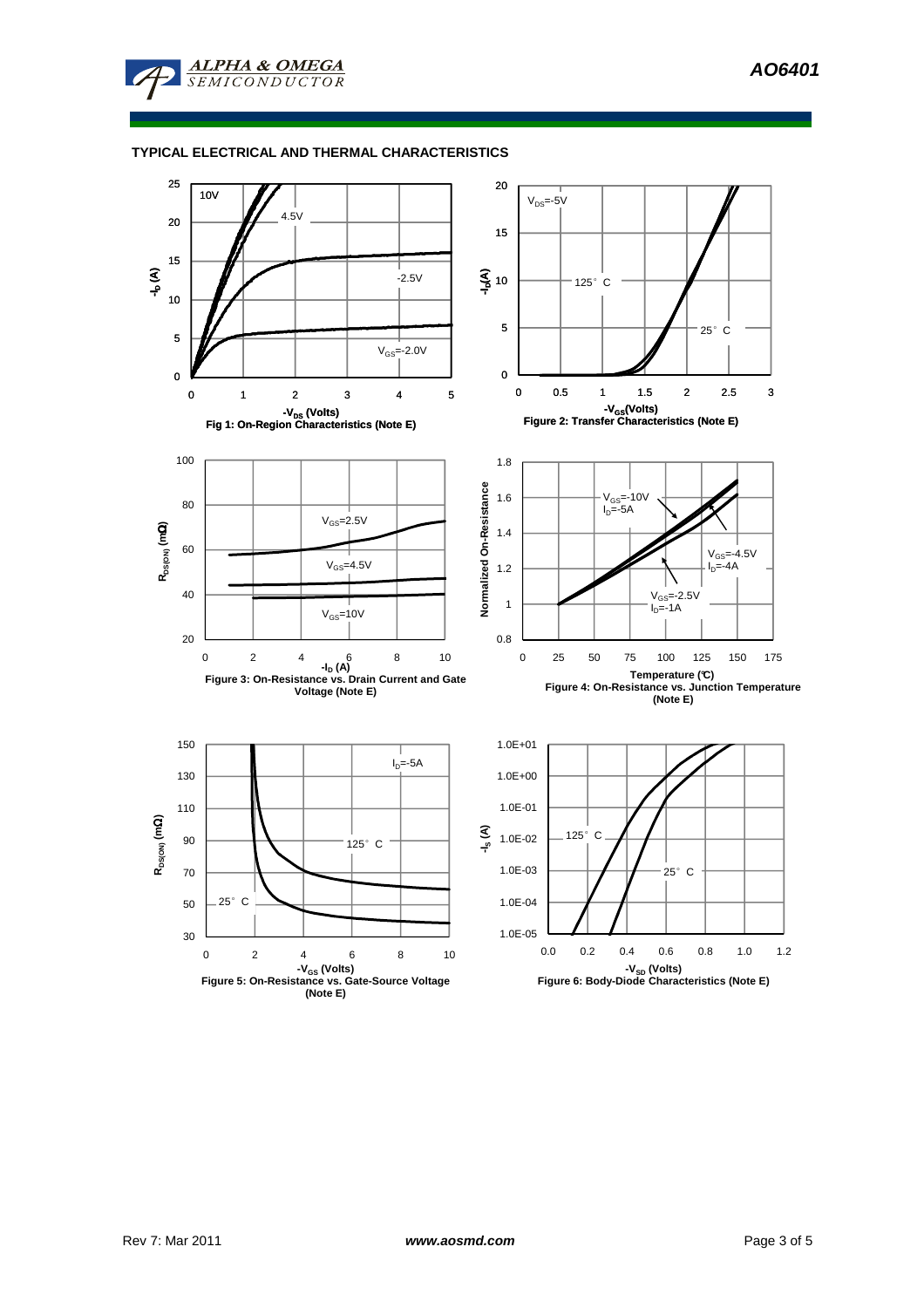

## **TYPICAL ELECTRICAL AND THERMAL CHARACTERISTICS**

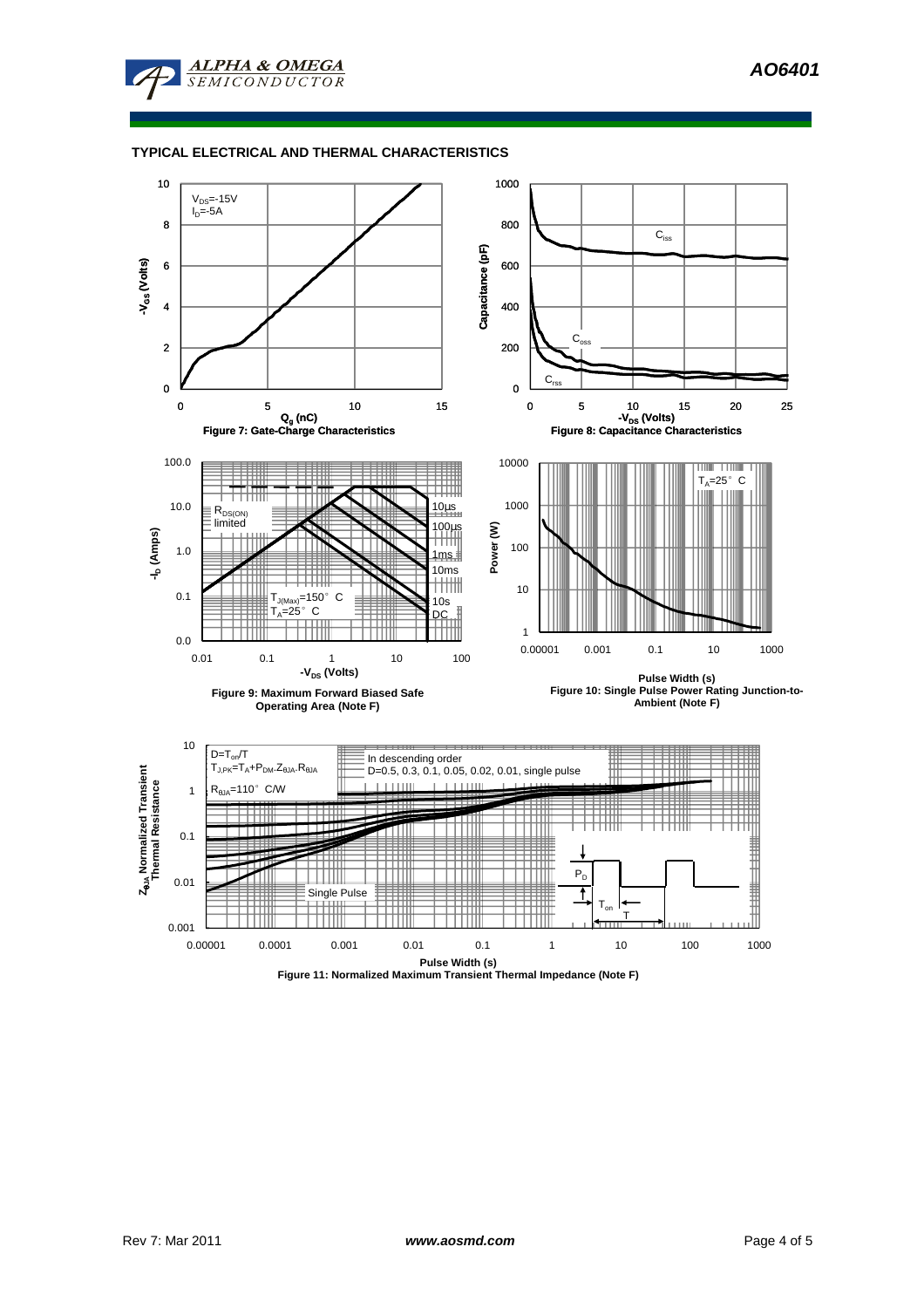

### **TYPICAL ELECTRICAL AND THERMAL CHARACTERISTICS**